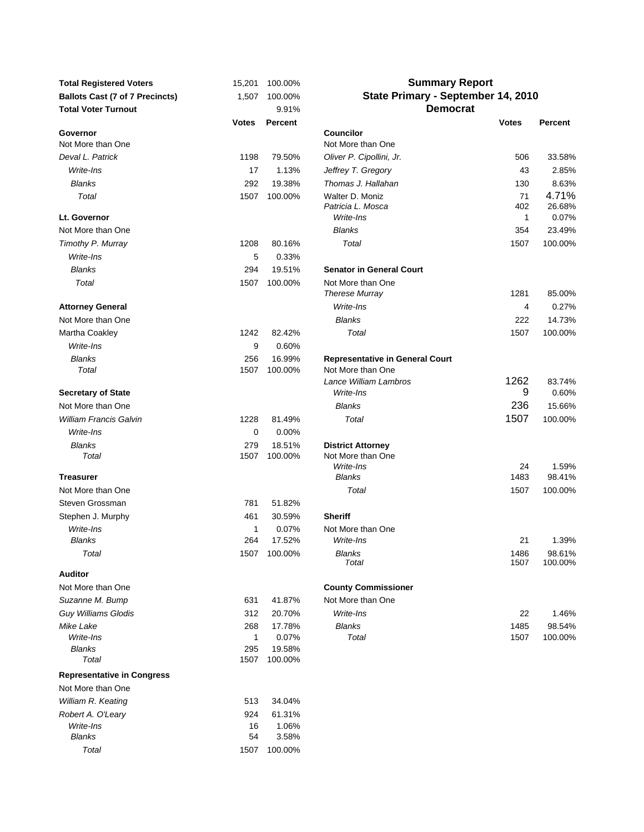| <b>Total Registered Voters</b>         | 15,201       | 100.00%           | <b>Summary Report</b>                                      |              |                   |
|----------------------------------------|--------------|-------------------|------------------------------------------------------------|--------------|-------------------|
| <b>Ballots Cast (7 of 7 Precincts)</b> | 1,507        | 100.00%           | State Primary - September 14, 2010                         |              |                   |
| <b>Total Voter Turnout</b>             |              | 9.91%             | <b>Democrat</b>                                            |              |                   |
|                                        | <b>Votes</b> | <b>Percent</b>    |                                                            | <b>Votes</b> | <b>Percent</b>    |
| Governor<br>Not More than One          |              |                   | <b>Councilor</b><br>Not More than One                      |              |                   |
| Deval L. Patrick                       | 1198         | 79.50%            | Oliver P. Cipollini, Jr.                                   | 506          | 33.58%            |
| Write-Ins                              | 17           | 1.13%             | Jeffrey T. Gregory                                         | 43           | 2.85%             |
| <b>Blanks</b>                          | 292          | 19.38%            | Thomas J. Hallahan                                         | 130          | 8.63%             |
| Total                                  | 1507         | 100.00%           | Walter D. Moniz<br>Patricia L. Mosca                       | 71<br>402    | 4.71%<br>26.68%   |
| Lt. Governor                           |              |                   | Write-Ins                                                  | 1            | 0.07%             |
| Not More than One                      |              |                   | <b>Blanks</b>                                              | 354          | 23.49%            |
| Timothy P. Murray                      | 1208         | 80.16%            | Total                                                      | 1507         | 100.00%           |
| Write-Ins                              | 5            | 0.33%             |                                                            |              |                   |
| <b>Blanks</b>                          | 294          | 19.51%            | <b>Senator in General Court</b>                            |              |                   |
| Total                                  | 1507         | 100.00%           | Not More than One<br><b>Therese Murray</b>                 | 1281         | 85.00%            |
| <b>Attorney General</b>                |              |                   | Write-Ins                                                  | 4            | 0.27%             |
| Not More than One                      |              |                   | <b>Blanks</b>                                              | 222          | 14.73%            |
| Martha Coakley                         | 1242         | 82.42%            | Total                                                      | 1507         | 100.00%           |
| Write-Ins                              | 9            | 0.60%             |                                                            |              |                   |
| <b>Blanks</b>                          | 256          | 16.99%            | <b>Representative in General Court</b>                     |              |                   |
| Total                                  | 1507         | 100.00%           | Not More than One                                          |              |                   |
|                                        |              |                   | Lance William Lambros                                      | 1262         | 83.74%            |
| <b>Secretary of State</b>              |              |                   | Write-Ins                                                  | 9            | 0.60%             |
| Not More than One                      |              |                   | <b>Blanks</b>                                              | 236          | 15.66%            |
| <b>William Francis Galvin</b>          | 1228         | 81.49%            | Total                                                      | 1507         | 100.00%           |
| Write-Ins                              | 0            | 0.00%             |                                                            |              |                   |
| <b>Blanks</b><br>Total                 | 279<br>1507  | 18.51%<br>100.00% | <b>District Attorney</b><br>Not More than One<br>Write-Ins | 24           | 1.59%             |
| <b>Treasurer</b>                       |              |                   | <b>Blanks</b>                                              | 1483         | 98.41%            |
| Not More than One                      |              |                   | Total                                                      | 1507         | 100.00%           |
| Steven Grossman                        | 781          | 51.82%            |                                                            |              |                   |
| Stephen J. Murphy                      | 461          | 30.59%            | <b>Sheriff</b>                                             |              |                   |
| Write-Ins                              | 1            | 0.07%             | Not More than One                                          |              |                   |
| <b>Blanks</b>                          | 264          | 17.52%            | Write-Ins                                                  | 21           | 1.39%             |
| Total                                  |              | 1507 100.00%      | <b>Blanks</b><br>Total                                     | 1486<br>1507 | 98.61%<br>100.00% |
| <b>Auditor</b>                         |              |                   |                                                            |              |                   |
| Not More than One                      |              |                   | <b>County Commissioner</b>                                 |              |                   |
| Suzanne M. Bump                        | 631          | 41.87%            | Not More than One                                          |              |                   |
| <b>Guy Williams Glodis</b>             | 312          | 20.70%            | Write-Ins                                                  | 22           | 1.46%             |
| Mike Lake                              | 268          | 17.78%            | <b>Blanks</b>                                              | 1485         | 98.54%            |
| Write-Ins                              | 1            | 0.07%             | Total                                                      | 1507         | 100.00%           |
| <b>Blanks</b><br>Total                 | 295<br>1507  | 19.58%<br>100.00% |                                                            |              |                   |
|                                        |              |                   |                                                            |              |                   |
| <b>Representative in Congress</b>      |              |                   |                                                            |              |                   |
| Not More than One                      |              |                   |                                                            |              |                   |
| William R. Keating                     | 513          | 34.04%            |                                                            |              |                   |
| Robert A. O'Leary<br>Write-Ins         | 924<br>16    | 61.31%<br>1.06%   |                                                            |              |                   |
| <b>Blanks</b>                          | 54           | 3.58%             |                                                            |              |                   |
| Total                                  | 1507         | 100.00%           |                                                            |              |                   |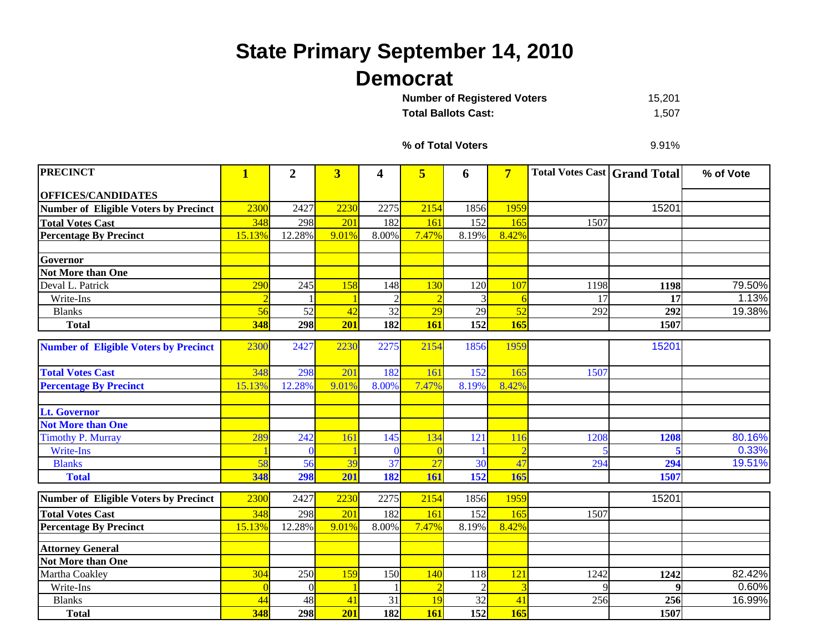## **State Primary September 14, 2010 Democrat**

15,201 **Total Ballots Cast:** 1,507 **Number of Registered Voters** 

**% of Total Voters**

9.91%

| <b>PRECINCT</b>                              | $\mathbf{1}$ | $\overline{2}$ | $\overline{3}$ | 4               | 5               | 6              | $\overline{7}$  | <b>Total Votes Cast Grand Total</b> |                  | % of Vote |
|----------------------------------------------|--------------|----------------|----------------|-----------------|-----------------|----------------|-----------------|-------------------------------------|------------------|-----------|
| <b>OFFICES/CANDIDATES</b>                    |              |                |                |                 |                 |                |                 |                                     |                  |           |
| <b>Number of Eligible Voters by Precinct</b> | 2300         | 2427           | 2230           | 2275            | 2154            | 1856           | 1959            |                                     | 15201            |           |
| <b>Total Votes Cast</b>                      | 348          | 298            | 201            | 182             | 161             | 152            | 165             | 1507                                |                  |           |
| <b>Percentage By Precinct</b>                | 15.13%       | 12.28%         | 9.01%          | 8.00%           | 7.47%           | 8.19%          | 8.42%           |                                     |                  |           |
|                                              |              |                |                |                 |                 |                |                 |                                     |                  |           |
| Governor                                     |              |                |                |                 |                 |                |                 |                                     |                  |           |
| <b>Not More than One</b>                     |              |                |                |                 |                 |                |                 |                                     |                  |           |
| Deval L. Patrick                             | 290          | 245            | 158            | 148             | 130             | 120            | 107             | 1198                                | 1198             | 79.50%    |
| Write-Ins                                    |              |                |                | $\overline{2}$  |                 | 3              | -6              | 17                                  | 17               | 1.13%     |
| <b>Blanks</b>                                | 56           | 52             | 42             | 32              | $\overline{29}$ | 29             | $\overline{52}$ | 292                                 | 292              | 19.38%    |
| <b>Total</b>                                 | 348          | 298            | 201            | 182             | 161             | 152            | 165             |                                     | 1507             |           |
| <b>Number of Eligible Voters by Precinct</b> | 2300         | 2427           | 2230           | 2275            | 2154            | 1856           | 1959            |                                     | 15201            |           |
| <b>Total Votes Cast</b>                      | 348          | 298            | 201            | 182             | 161             | 152            | 165             | 1507                                |                  |           |
| <b>Percentage By Precinct</b>                | 15.13%       | 12.28%         | 9.01%          | 8.00%           | 7.47%           | 8.19%          | 8.42%           |                                     |                  |           |
| <b>Lt. Governor</b>                          |              |                |                |                 |                 |                |                 |                                     |                  |           |
| <b>Not More than One</b>                     |              |                |                |                 |                 |                |                 |                                     |                  |           |
| <b>Timothy P. Murray</b>                     | 289          | 242            | 161            | 145             | 134             | 121            | 116             | 1208                                | 1208             | 80.16%    |
| Write-Ins                                    |              |                |                | $\Omega$        |                 |                |                 |                                     |                  | 0.33%     |
| <b>Blanks</b>                                | 58           | 56             | 39             | $\overline{37}$ | 27              | 30             | 47              | 294                                 | 294              | 19.51%    |
| <b>Total</b>                                 | 348          | 298            | 201            | 182             | 161             | 152            | 165             |                                     | 1507             |           |
| <b>Number of Eligible Voters by Precinct</b> | 2300         | 2427           | 2230           | 2275            | 2154            | 1856           | 1959            |                                     | 15201            |           |
| <b>Total Votes Cast</b>                      | 348          | 298            | 201            | 182             | 161             | 152            | 165             | 1507                                |                  |           |
| <b>Percentage By Precinct</b>                | 15.13%       | 12.28%         | 9.01%          | 8.00%           | 7.47%           | 8.19%          | 8.42%           |                                     |                  |           |
| <b>Attorney General</b>                      |              |                |                |                 |                 |                |                 |                                     |                  |           |
| <b>Not More than One</b>                     |              |                |                |                 |                 |                |                 |                                     |                  |           |
| Martha Coakley                               | 304          | 250            | 159            | 150             | 140             | 118            | 121             | 1242                                | 1242             | 82.42%    |
| Write-Ins                                    |              | $\Omega$       |                |                 |                 | $\overline{2}$ | 3               |                                     | $\boldsymbol{9}$ | 0.60%     |
| <b>Blanks</b>                                | 44           | 48             | 41             | 31              | 19              | 32             | 41              | 256                                 | 256              | 16.99%    |
| <b>Total</b>                                 | 348          | 298            | 201            | 182             | <b>161</b>      | 152            | 165             |                                     | 1507             |           |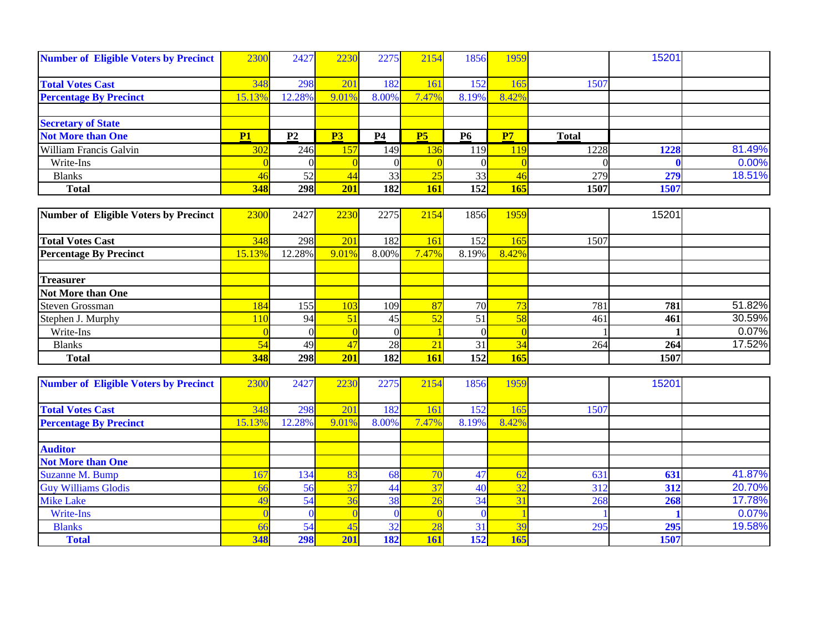| <b>Number of Eligible Voters by Precinct</b> | 2300       | 2427     | 2230     | 2275           | 2154            | 1856           | 1959            |              | 15201            |        |
|----------------------------------------------|------------|----------|----------|----------------|-----------------|----------------|-----------------|--------------|------------------|--------|
| <b>Total Votes Cast</b>                      | 348        | 298      | 201      | 182            | 161             | 152            | 165             | 1507         |                  |        |
| <b>Percentage By Precinct</b>                | 15.13%     | 12.28%   | 9.01%    | 8.00%          | 7.47%           | 8.19%          | 8.42%           |              |                  |        |
|                                              |            |          |          |                |                 |                |                 |              |                  |        |
| <b>Secretary of State</b>                    |            |          |          |                |                 |                |                 |              |                  |        |
| <b>Not More than One</b>                     | P1         | P2       | P3       | P <sub>4</sub> | P <sub>5</sub>  | <b>P6</b>      | P7              | <b>Total</b> |                  |        |
| William Francis Galvin                       | 302        | 246      | 157      | 149            | 136             | 119            | 119             | 1228         | 1228             | 81.49% |
| Write-Ins                                    | $\sqrt{ }$ | $\Omega$ | $\Omega$ | $\theta$       |                 | $\overline{0}$ | $\overline{0}$  |              |                  | 0.00%  |
| <b>Blanks</b>                                | 46         | 52       | 44       | 33             | $\overline{25}$ | 33             | $\overline{46}$ | 279          | 279              | 18.51% |
| <b>Total</b>                                 | 348        | 298      | 201      | 182            | <b>161</b>      | 152            | 165             | 1507         | 1507             |        |
|                                              |            |          |          |                |                 |                |                 |              |                  |        |
| <b>Number of Eligible Voters by Precinct</b> | 2300       | 2427     | 2230     | 2275           | 2154            | 1856           | 1959            |              | 15201            |        |
| <b>Total Votes Cast</b>                      | 348        | 298      | 201      | 182            | 161             | 152            | 165             | 1507         |                  |        |
| <b>Percentage By Precinct</b>                | 15.13%     | 12.28%   | 9.01%    | 8.00%          | 7.47%           | 8.19%          | 8.42%           |              |                  |        |
|                                              |            |          |          |                |                 |                |                 |              |                  |        |
| <b>Treasurer</b>                             |            |          |          |                |                 |                |                 |              |                  |        |
| <b>Not More than One</b>                     |            |          |          |                |                 |                |                 |              |                  |        |
| <b>Steven Grossman</b>                       | 184        | 155      | 103      | 109            | 87              | 70             | 73              | 781          | 781              | 51.82% |
| Stephen J. Murphy                            | 11C        | 94       | 51       | 45             | 52              | 51             | 58              | 461          | 461              | 30.59% |
| Write-Ins                                    |            | $\Omega$ | $\Omega$ | $\theta$       |                 | $\Omega$       | $\overline{0}$  |              |                  | 0.07%  |
| <b>Blanks</b>                                | 54         | 49       | 47       | 28             | 21              | 31             | 34              | 264          | 264              | 17.52% |
| <b>Total</b>                                 | 348        | 298      | 201      | 182            | <b>161</b>      | 152            | 165             |              | 1507             |        |
|                                              |            |          |          |                |                 |                |                 |              |                  |        |
| <b>Number of Eligible Voters by Precinct</b> | 2300       | 2427     | 2230     | 2275           | 2154            | 1856           | 1959            |              | 15201            |        |
| <b>Total Votes Cast</b>                      | 348        | 298      | 201      | 182            | 161             | 152            | 165             | 1507         |                  |        |
| <b>Percentage By Precinct</b>                | 15.13%     | 12.28%   | 9.01%    | 8.00%          | 7.47%           | 8.19%          | 8.42%           |              |                  |        |
|                                              |            |          |          |                |                 |                |                 |              |                  |        |
| <b>Auditor</b>                               |            |          |          |                |                 |                |                 |              |                  |        |
| <b>Not More than One</b>                     |            |          |          |                |                 |                |                 |              |                  |        |
| <b>Suzanne M. Bump</b>                       | 167        | 134      | 83       | 68             | 70              | 47             | 62              | 631          | 631              | 41.87% |
| <b>Guy Williams Glodis</b>                   | 66         | 56       | 37       | 44             | $\overline{37}$ | 40             | 32              | 312          | $\overline{312}$ | 20.70% |
| <b>Mike Lake</b>                             | 49         | 54       | 36       | 38             | 26              | 34             | 31              | 268          | 268              | 17.78% |
| <b>Write-Ins</b>                             |            | $\Omega$ |          | $\overline{0}$ |                 | $\mathbf{0}$   | $\blacksquare$  |              |                  | 0.07%  |
| <b>Blanks</b>                                | 66         | 54       | 45       | 32             | 28              | 31             | 39              | 295          | 295              | 19.58% |
| <b>Total</b>                                 | 348        | 298      | 201      | 182            | 161             | 152            | 165             |              | 1507             |        |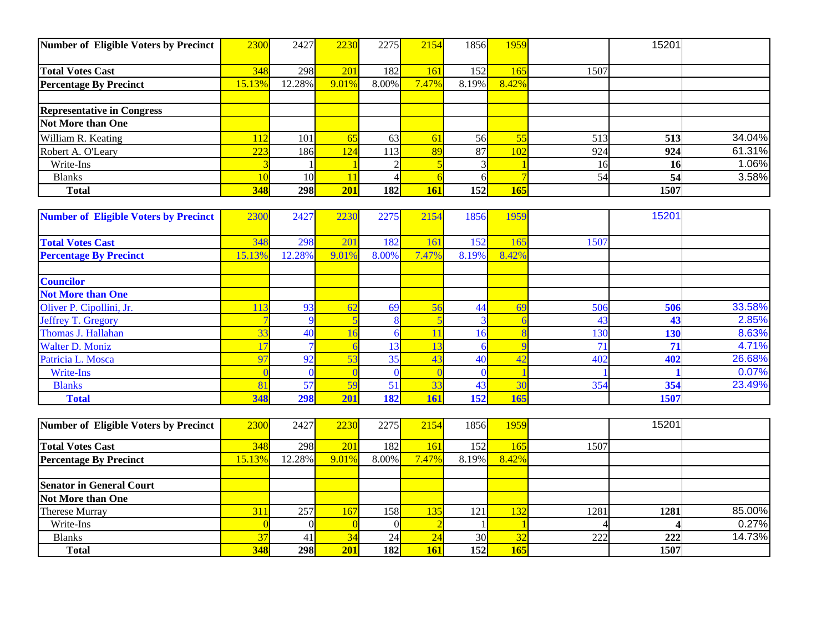| Number of Eligible Voters by Precinct        | 2300   | 2427            | 2230             | 2275             | 2154                    | 1856             | 1959           |      | 15201            |        |
|----------------------------------------------|--------|-----------------|------------------|------------------|-------------------------|------------------|----------------|------|------------------|--------|
| <b>Total Votes Cast</b>                      | 348    | 298             | 201              | 182              | 161                     | 152              | 165            | 1507 |                  |        |
| <b>Percentage By Precinct</b>                | 15.13% | 12.28%          | 9.01%            | 8.00%            | 7.47%                   | 8.19%            | 8.42%          |      |                  |        |
|                                              |        |                 |                  |                  |                         |                  |                |      |                  |        |
| <b>Representative in Congress</b>            |        |                 |                  |                  |                         |                  |                |      |                  |        |
| <b>Not More than One</b>                     |        |                 |                  |                  |                         |                  |                |      |                  |        |
| William R. Keating                           | 112    | 101             | 65               | 63               | 61                      | 56               | 55             | 513  | 513              | 34.04% |
| Robert A. O'Leary                            | 223    | 186             | 124              | 113              | 89                      | 87               | 102            | 924  | $\overline{924}$ | 61.31% |
| Write-Ins                                    | 3      |                 |                  | $\overline{2}$   | $\overline{\mathbf{5}}$ | 3                |                | 16   | 16               | 1.06%  |
| <b>Blanks</b>                                | 10     | $\overline{10}$ | 11               | $\overline{4}$   | 6                       | 6                | $\overline{7}$ | 54   | $\overline{54}$  | 3.58%  |
| <b>Total</b>                                 | 348    | 298             | 201              | 182              | <b>161</b>              | $\overline{152}$ | 165            |      | 1507             |        |
|                                              |        |                 |                  |                  |                         |                  |                |      |                  |        |
| <b>Number of Eligible Voters by Precinct</b> | 2300   | 2427            | 2230             | 2275             | 2154                    | 1856             | 1959           |      | 15201            |        |
| <b>Total Votes Cast</b>                      | 348    | 298             | 201              | 182              | 161                     | 152              | 165            | 1507 |                  |        |
| <b>Percentage By Precinct</b>                | 15.13% | 12.28%          | 9.01%            | 8.00%            | 7.47%                   | 8.19%            | 8.42%          |      |                  |        |
|                                              |        |                 |                  |                  |                         |                  |                |      |                  |        |
| <b>Councilor</b>                             |        |                 |                  |                  |                         |                  |                |      |                  |        |
| <b>Not More than One</b>                     |        |                 |                  |                  |                         |                  |                |      |                  |        |
| Oliver P. Cipollini, Jr.                     | 113    | 93              | 62               | 69               | 56                      | 44               | 69             | 506  | 506              | 33.58% |
| <b>Jeffrey T. Gregory</b>                    |        | 9               | 5                | 8                | $\overline{\mathbf{5}}$ | 3                | 6              | 43   | 43               | 2.85%  |
| Thomas J. Hallahan                           | 33     | 40              | 16               | 6                | 11                      | 16               | $\epsilon$     | 130  | 130              | 8.63%  |
| <b>Walter D. Moniz</b>                       | 17     |                 | 6                | 13               | 13                      | 6                | 9              | 71   | 71               | 4.71%  |
| Patricia L. Mosca                            | 97     | 92              | $\overline{53}$  | $\overline{35}$  | 43                      | 40               | 42             | 402  | 402              | 26.68% |
| <b>Write-Ins</b>                             |        | $\theta$        | $\overline{0}$   | $\mathbf{0}$     | $\sqrt{ }$              | $\overline{0}$   |                |      |                  | 0.07%  |
| <b>Blanks</b>                                | 81     | 57              | 59               | 51               | 33                      | 43               | 30             | 354  | 354              | 23.49% |
| <b>Total</b>                                 | 348    | 298             | 201              | 182              | 161                     | 152              | 165            |      | 1507             |        |
|                                              |        |                 |                  |                  |                         |                  |                |      |                  |        |
| Number of Eligible Voters by Precinct        | 2300   | 2427            | 2230             | 2275             | 2154                    | 1856             | 1959           |      | 15201            |        |
| <b>Total Votes Cast</b>                      | 348    | 298             | 201              | 182              | 161                     | 152              | 165            | 1507 |                  |        |
| <b>Percentage By Precinct</b>                | 15.13% | 12.28%          | 9.01%            | 8.00%            | 7.47%                   | 8.19%            | 8.42%          |      |                  |        |
|                                              |        |                 |                  |                  |                         |                  |                |      |                  |        |
| <b>Senator in General Court</b>              |        |                 |                  |                  |                         |                  |                |      |                  |        |
| Not More than One                            |        |                 |                  |                  |                         |                  |                |      |                  |        |
| Therese Murray                               | 311    | 257             | 167              | 158              | 135                     | 121              | 132            | 1281 | 1281             | 85.00% |
| Write-Ins                                    |        | $\theta$        | $\Omega$         | $\Omega$         |                         |                  |                |      |                  | 0.27%  |
| <b>Blanks</b>                                | 37     | 41              | 34               | 24               | $\overline{24}$         | $\overline{30}$  | 32             | 222  | 222              | 14.73% |
| <b>Total</b>                                 | 348    | 298             | $\overline{201}$ | $\overline{182}$ | 161                     | $\overline{152}$ | 165            |      | 1507             |        |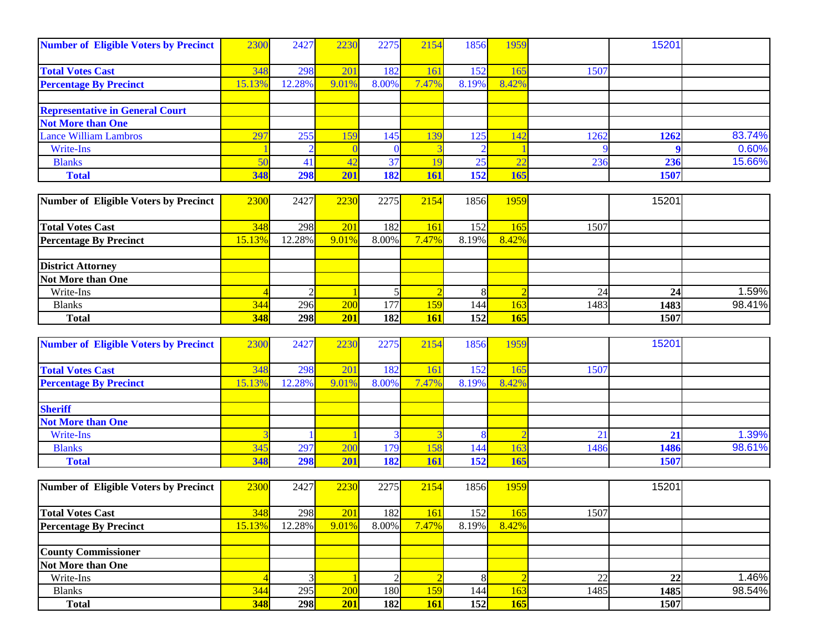| <b>Number of Eligible Voters by Precinct</b> | 2300   | 2427           | 2230     | 2275            | 2154       | 1856           | 1959            |      | 15201 |        |
|----------------------------------------------|--------|----------------|----------|-----------------|------------|----------------|-----------------|------|-------|--------|
| <b>Total Votes Cast</b>                      | 348    | 298            | 201      | 182             | 161        | 152            | 165             | 1507 |       |        |
| <b>Percentage By Precinct</b>                | 15.13% | 12.28%         | 9.01%    | 8.00%           | 7.47%      | 8.19%          | 8.42%           |      |       |        |
|                                              |        |                |          |                 |            |                |                 |      |       |        |
| <b>Representative in General Court</b>       |        |                |          |                 |            |                |                 |      |       |        |
| <b>Not More than One</b>                     |        |                |          |                 |            |                |                 |      |       |        |
| Lance William Lambros                        | 297    | 255            | 159      | 145             | 139        | 125            | 142             | 1262 | 1262  | 83.74% |
| Write-Ins                                    |        |                | $\Omega$ | $\bf{0}$        |            | $\overline{2}$ |                 |      | 9     | 0.60%  |
| <b>Blanks</b>                                | 50     | 41             | 42       | $\overline{37}$ | 19         | 25             | $\overline{22}$ | 236  | 236   | 15.66% |
| <b>Total</b>                                 | 348    | 298            | 201      | 182             | 161        | 152            | 165             |      | 1507  |        |
|                                              |        |                |          |                 |            |                |                 |      |       |        |
| Number of Eligible Voters by Precinct        | 2300   | 2427           | 2230     | 2275            | 2154       | 1856           | 1959            |      | 15201 |        |
| <b>Total Votes Cast</b>                      | 348    | 298            | 201      | 182             | 161        | 152            | 165             | 1507 |       |        |
| <b>Percentage By Precinct</b>                | 15.13% | 12.28%         | 9.01%    | 8.00%           | 7.47%      | 8.19%          | 8.42%           |      |       |        |
|                                              |        |                |          |                 |            |                |                 |      |       |        |
| <b>District Attorney</b>                     |        |                |          |                 |            |                |                 |      |       |        |
| Not More than One                            |        |                |          |                 |            |                |                 |      |       |        |
| Write-Ins                                    |        | $\overline{c}$ |          | 5               |            | 8              | $\overline{2}$  | 24   | 24    | 1.59%  |
| <b>Blanks</b>                                | 344    | 296            | 200      | 177             | 159        | 144            | 163             | 1483 | 1483  | 98.41% |
| <b>Total</b>                                 | 348    | 298            | 201      | 182             | <b>161</b> | 152            | <b>165</b>      |      | 1507  |        |
|                                              |        |                |          |                 |            |                |                 |      |       |        |
| <b>Number of Eligible Voters by Precinct</b> | 2300   | 2427           | 2230     | 2275            | 2154       | 1856           | 1959            |      | 15201 |        |
| <b>Total Votes Cast</b>                      | 348    | 298            | 201      | 182             | 161        | 152            | 165             | 1507 |       |        |
| <b>Percentage By Precinct</b>                | 15.13% | 12.28%         | 9.01%    | 8.00%           | 7.47%      | 8.19%          | 8.42%           |      |       |        |
|                                              |        |                |          |                 |            |                |                 |      |       |        |
| <b>Sheriff</b>                               |        |                |          |                 |            |                |                 |      |       |        |
| <b>Not More than One</b>                     |        |                |          |                 |            |                |                 |      |       |        |
| Write-Ins                                    |        |                |          | $\overline{3}$  |            | 8              | $\overline{2}$  | 21   | 21    | 1.39%  |
| <b>Blanks</b>                                | 345    | 297            | 200      | 179             | 158        | 144            | 163             | 1486 | 1486  | 98.61% |
| <b>Total</b>                                 | 348    | 298            | 201      | 182             | 161        | 152            | 165             |      | 1507  |        |
|                                              |        |                |          |                 |            |                |                 |      |       |        |
| <b>Number of Eligible Voters by Precinct</b> | 2300   | 2427           | 2230     | 2275            | 2154       | 1856           | 1959            |      | 15201 |        |
| <b>Total Votes Cast</b>                      | 348    | 298            | 201      | 182             | 161        | 152            | 165             | 1507 |       |        |
| <b>Percentage By Precinct</b>                | 15.13% | 12.28%         | 9.01%    | 8.00%           | 7.47%      | 8.19%          | 8.42%           |      |       |        |
|                                              |        |                |          |                 |            |                |                 |      |       |        |
| <b>County Commissioner</b>                   |        |                |          |                 |            |                |                 |      |       |        |
| Not More than One                            |        |                |          |                 |            |                |                 |      |       |        |
| Write-Ins                                    |        | 3              |          | $\overline{2}$  |            | 8              | $\overline{2}$  | 22   | 22    | 1.46%  |
| <b>Blanks</b>                                | 344    | 295            | 200      | 180             | 159        | 144            | 163             | 1485 | 1485  | 98.54% |

 **Total 348 298 201 182 161 152 165 1507**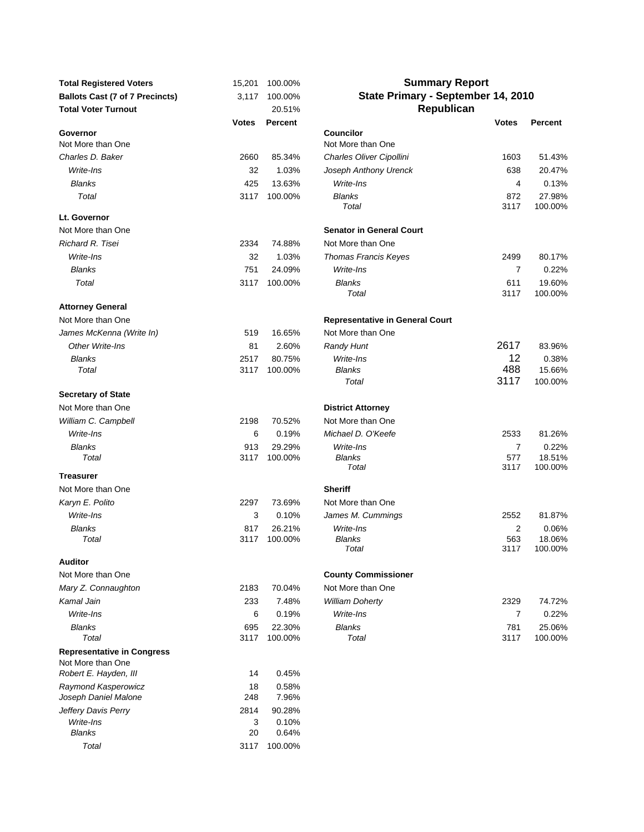| <b>Total Registered Voters</b>                         | 15,201       | 100.00%           | <b>Summary Report</b>                  |                |                 |
|--------------------------------------------------------|--------------|-------------------|----------------------------------------|----------------|-----------------|
| <b>Ballots Cast (7 of 7 Precincts)</b>                 | 3,117        | 100.00%           | State Primary - September 14, 2010     |                |                 |
| <b>Total Voter Turnout</b>                             |              | 20.51%            | Republican                             |                |                 |
|                                                        | Votes        | <b>Percent</b>    |                                        | <b>Votes</b>   | <b>Percent</b>  |
| Governor<br>Not More than One                          |              |                   | <b>Councilor</b><br>Not More than One  |                |                 |
| Charles D. Baker                                       | 2660         | 85.34%            | Charles Oliver Cipollini               | 1603           | 51.43%          |
| Write-Ins                                              | 32           | 1.03%             | Joseph Anthony Urenck                  | 638            | 20.47%          |
| <b>Blanks</b>                                          | 425          | 13.63%            | Write-Ins                              | 4              | 0.13%           |
| Total                                                  | 3117         | 100.00%           | <b>Blanks</b>                          | 872            | 27.98%          |
|                                                        |              |                   | Total                                  | 3117           | 100.00%         |
| Lt. Governor                                           |              |                   |                                        |                |                 |
| Not More than One                                      |              |                   | <b>Senator in General Court</b>        |                |                 |
| Richard R. Tisei                                       | 2334         | 74.88%            | Not More than One                      |                |                 |
| Write-Ins                                              | 32           | 1.03%             | <b>Thomas Francis Keyes</b>            | 2499           | 80.17%          |
| <b>Blanks</b>                                          | 751          | 24.09%            | Write-Ins                              | $\overline{7}$ | 0.22%           |
| Total                                                  | 3117         | 100.00%           | Blanks                                 | 611            | 19.60%          |
|                                                        |              |                   | Total                                  | 3117           | 100.00%         |
| <b>Attorney General</b>                                |              |                   |                                        |                |                 |
| Not More than One                                      |              |                   | <b>Representative in General Court</b> |                |                 |
| James McKenna (Write In)                               | 519          | 16.65%            | Not More than One                      | 2617           |                 |
| Other Write-Ins                                        | 81           | 2.60%             | <b>Randy Hunt</b>                      |                | 83.96%          |
| <b>Blanks</b><br>Total                                 | 2517<br>3117 | 80.75%<br>100.00% | Write-Ins<br><b>Blanks</b>             | 12<br>488      | 0.38%<br>15.66% |
|                                                        |              |                   | Total                                  | 3117           | 100.00%         |
| <b>Secretary of State</b>                              |              |                   |                                        |                |                 |
| Not More than One                                      |              |                   | <b>District Attorney</b>               |                |                 |
| William C. Campbell                                    | 2198         | 70.52%            | Not More than One                      |                |                 |
| Write-Ins                                              | 6            | 0.19%             | Michael D. O'Keefe                     | 2533           | 81.26%          |
| <b>Blanks</b>                                          | 913          | 29.29%            | Write-Ins                              | $\overline{7}$ | 0.22%           |
| Total                                                  | 3117         | 100.00%           | Blanks                                 | 577            | 18.51%          |
|                                                        |              |                   | Total                                  | 3117           | 100.00%         |
| <b>Treasurer</b>                                       |              |                   |                                        |                |                 |
| Not More than One                                      |              |                   | <b>Sheriff</b>                         |                |                 |
| Karyn E. Polito                                        | 2297         | 73.69%            | Not More than One                      |                |                 |
| Write-Ins                                              | 3            | 0.10%             | James M. Cummings                      | 2552           | 81.87%          |
| <b>Blanks</b><br>Total                                 | 817<br>3117  | 26.21%<br>100.00% | Write-Ins<br>Blanks                    | 2<br>563       | 0.06%<br>18.06% |
|                                                        |              |                   | Total                                  | 3117           | 100.00%         |
| <b>Auditor</b>                                         |              |                   |                                        |                |                 |
| Not More than One                                      |              |                   | <b>County Commissioner</b>             |                |                 |
| Mary Z. Connaughton                                    | 2183         | 70.04%            | Not More than One                      |                |                 |
| Kamal Jain                                             | 233          | 7.48%             | <b>William Doherty</b>                 | 2329           | 74.72%          |
| Write-Ins                                              | 6            | 0.19%             | Write-Ins                              | $\overline{7}$ | 0.22%           |
| <b>Blanks</b>                                          | 695          | 22.30%            | <b>Blanks</b>                          | 781            | 25.06%          |
| Total                                                  | 3117         | 100.00%           | Total                                  | 3117           | 100.00%         |
| <b>Representative in Congress</b><br>Not More than One |              |                   |                                        |                |                 |
| Robert E. Hayden, III                                  | 14           | 0.45%             |                                        |                |                 |
| Raymond Kasperowicz<br>Joseph Daniel Malone            | 18<br>248    | 0.58%<br>7.96%    |                                        |                |                 |
| Jeffery Davis Perry                                    | 2814         | 90.28%            |                                        |                |                 |
| Write-Ins                                              | 3            | 0.10%             |                                        |                |                 |
| <b>Blanks</b>                                          | 20           | 0.64%             |                                        |                |                 |
| Total                                                  | 3117         | 100.00%           |                                        |                |                 |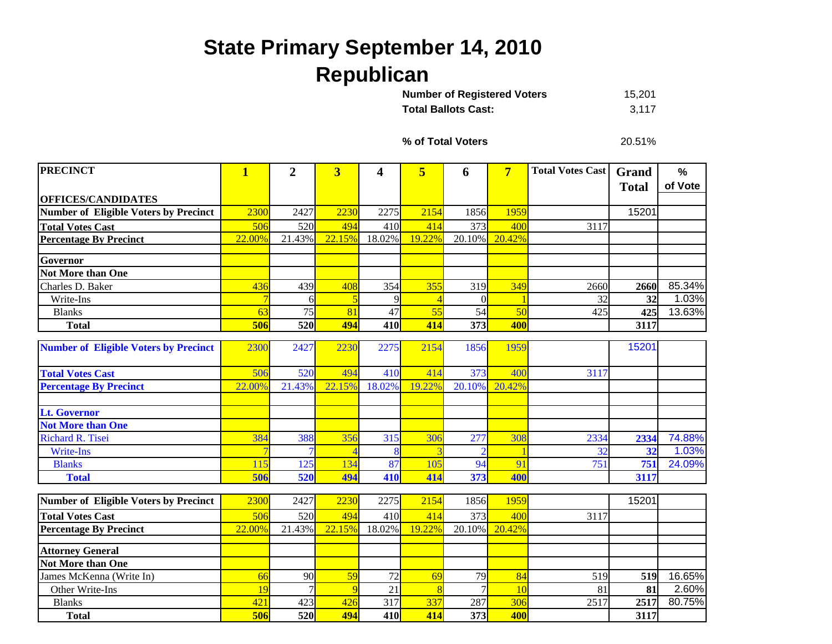## **State Primary September 14, 2010 Republican**

| <b>Number of Registered Voters</b> | 15.201 |
|------------------------------------|--------|
| <b>Total Ballots Cast:</b>         | 3.117  |

**% of Total Voters**

20.51%

| <b>PRECINCT</b>                              | $\overline{\mathbf{1}}$ | $\overline{2}$ | $\overline{\mathbf{3}}$ | 4        | 5         | 6         | $\overline{7}$ | <b>Total Votes Cast</b> | Grand        | $\%$    |
|----------------------------------------------|-------------------------|----------------|-------------------------|----------|-----------|-----------|----------------|-------------------------|--------------|---------|
|                                              |                         |                |                         |          |           |           |                |                         | <b>Total</b> | of Vote |
| <b>OFFICES/CANDIDATES</b>                    |                         |                |                         |          |           |           |                |                         |              |         |
| <b>Number of Eligible Voters by Precinct</b> | 2300                    | 2427           | 2230                    | 2275     | 2154      | 1856      | 1959           |                         | 15201        |         |
| <b>Total Votes Cast</b>                      | 506                     | 520            | 494                     | 410      | 414       | 373       | 400            | 3117                    |              |         |
| <b>Percentage By Precinct</b>                | 22.00%                  | 21.43%         | 22.15%                  | 18.02%   | 19.22%    | 20.10%    | 20.42%         |                         |              |         |
|                                              |                         |                |                         |          |           |           |                |                         |              |         |
| Governor<br><b>Not More than One</b>         |                         |                |                         |          |           |           |                |                         |              |         |
|                                              |                         |                |                         |          |           |           |                |                         |              | 85.34%  |
| Charles D. Baker                             | 436<br>$\overline{7}$   | 439            | 408                     | 354<br>9 | 355       | 319       | 349            | 2660<br>32              | 2660<br>32   | 1.03%   |
| Write-Ins                                    | 63                      | 6<br>75        | 5<br>81                 | 47       |           | $\Omega$  | 50             |                         |              | 13.63%  |
| <b>Blanks</b><br><b>Total</b>                | 506                     | 520            | 494                     | 410      | 55<br>414 | 54<br>373 | 400            | 425                     | 425<br>3117  |         |
|                                              |                         |                |                         |          |           |           |                |                         |              |         |
| <b>Number of Eligible Voters by Precinct</b> | 2300                    | 2427           | 2230                    | 2275     | 2154      | 1856      | 1959           |                         | 15201        |         |
|                                              |                         |                |                         |          |           |           |                |                         |              |         |
| <b>Total Votes Cast</b>                      | 506                     | 520            | 494                     | 410      | 414       | 373       | 400            | 3117                    |              |         |
| <b>Percentage By Precinct</b>                | 22.00%                  | 21.43%         | 22.15%                  | 18.02%   | 19.22%    | 20.10%    | 20.42%         |                         |              |         |
|                                              |                         |                |                         |          |           |           |                |                         |              |         |
| <b>Lt. Governor</b>                          |                         |                |                         |          |           |           |                |                         |              |         |
| <b>Not More than One</b>                     |                         |                |                         |          |           |           |                |                         |              |         |
| Richard R. Tisei                             | 384                     | 388            | 356                     | 315      | 306       | 277       | 308            | 2334                    | 2334         | 74.88%  |
| Write-Ins                                    |                         |                |                         |          |           |           |                | 32                      | 32           | 1.03%   |
| <b>Blanks</b>                                | 115                     | 125            | 134                     | 87       | 105       | 94        | 91             | 751                     | 751          | 24.09%  |
| <b>Total</b>                                 | 506                     | 520            | 494                     | 410      | 414       | 373       | 400            |                         | 3117         |         |
|                                              |                         |                |                         |          |           |           |                |                         |              |         |
| Number of Eligible Voters by Precinct        | 2300                    | 2427           | 2230                    | 2275     | 2154      | 1856      | 1959           |                         | 15201        |         |
| <b>Total Votes Cast</b>                      | 506                     | 520            | 494                     | 410      | 414       | 373       | 400            | 3117                    |              |         |
| <b>Percentage By Precinct</b>                | 22.00%                  | 21.43%         | 22.15%                  | 18.02%   | 19.22%    | 20.10%    | 20.42%         |                         |              |         |
| <b>Attorney General</b>                      |                         |                |                         |          |           |           |                |                         |              |         |
| <b>Not More than One</b>                     |                         |                |                         |          |           |           |                |                         |              |         |
| James McKenna (Write In)                     | 66                      | 90             | 59                      | 72       | 69        | 79        | 84             | 519                     | 519          | 16.65%  |
| Other Write-Ins                              | 19                      |                | $\overline{9}$          | 21       | 8         |           | 10             | 81                      | 81           | 2.60%   |
| <b>Blanks</b>                                | 421                     | 423            | 426                     | 317      | 337       | 287       | 306            | 2517                    | 2517         | 80.75%  |
| <b>Total</b>                                 | 506                     | 520            | 494                     | 410      | 414       | 373       | 400            |                         | 3117         |         |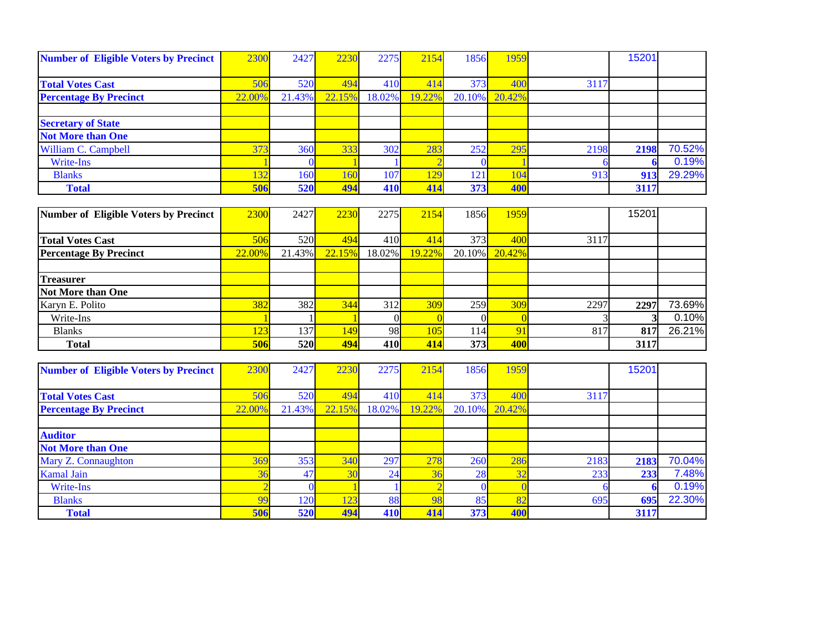| <b>Number of Eligible Voters by Precinct</b> | 2300   | 2427       | 2230   | 2275       | 2154   | 1856   | 1959   |      | 15201 |        |
|----------------------------------------------|--------|------------|--------|------------|--------|--------|--------|------|-------|--------|
|                                              |        |            |        |            |        |        |        |      |       |        |
| <b>Total Votes Cast</b>                      | 506    | <b>520</b> | 494    | 410        | 414    | 373    | 400    | 3117 |       |        |
| <b>Percentage By Precinct</b>                | 22.00% | 21.43%     | 22.15% | 18.02%     | 19.22% | 20.10% | 20.42% |      |       |        |
|                                              |        |            |        |            |        |        |        |      |       |        |
| <b>Secretary of State</b>                    |        |            |        |            |        |        |        |      |       |        |
| <b>Not More than One</b>                     |        |            |        |            |        |        |        |      |       |        |
| William C. Campbell                          | 373    | <b>360</b> | 333    | 302        | 283    | 252    | 295    | 2198 | 2198  | 70.52% |
| Write-Ins                                    |        |            |        |            |        |        |        |      |       | 0.19%  |
| <b>Blanks</b>                                | 132    | 160        | 160    | 107        | 129    | 121    | 104    | 913  | 913   | 29.29% |
| <b>Total</b>                                 | 506    | <b>520</b> | 494    | <b>410</b> | 414    | 373    | 400    |      | 3117  |        |

| Number of Eligible Voters by Precinct | 2300   | 2427       | 2230       | 2275      | 2154   | 1856             | 1959       |      | 15201 |        |
|---------------------------------------|--------|------------|------------|-----------|--------|------------------|------------|------|-------|--------|
|                                       |        |            |            |           |        |                  |            |      |       |        |
| <b>Total Votes Cast</b>               | 506    | 520        | 494        | 410       | 414    | 373              | 400        | 3117 |       |        |
| <b>Percentage By Precinct</b>         | 22.00% | 21.43%     | 22.15%     | 18.02%    | 19.22% | $20.10\%$        | $20.42\%$  |      |       |        |
|                                       |        |            |            |           |        |                  |            |      |       |        |
| <b>Treasurer</b>                      |        |            |            |           |        |                  |            |      |       |        |
| <b>Not More than One</b>              |        |            |            |           |        |                  |            |      |       |        |
| Karyn E. Polito                       | 382    | <b>382</b> | 344        | 312       | 309    | 259              | 309        | 2297 | 2297  | 73.69% |
| Write-Ins                             |        |            |            |           |        |                  |            |      |       | 0.10%  |
| <b>Blanks</b>                         | 123    | 137        | <b>149</b> | <b>98</b> | 105    | 114 <sub>h</sub> | 91         | 817  | 817   | 26.21% |
| <b>Total</b>                          | 506    | <b>520</b> | 494        | 410       | 414    | 373              | <b>400</b> |      | 3117  |        |

| <b>Number of Eligible Voters by Precinct</b> | 2300           | 2427       | 2230   | 2275            | 2154   | 1856      | 1959            |      | 15201 |        |
|----------------------------------------------|----------------|------------|--------|-----------------|--------|-----------|-----------------|------|-------|--------|
|                                              |                |            |        |                 |        |           |                 |      |       |        |
| <b>Total Votes Cast</b>                      | 506            | 520        | 494    | 410             | 414    | 373       | 400             | 3117 |       |        |
| <b>Percentage By Precinct</b>                | 22.00%         | 21.43%     | 22.15% | 18.02%          | 19.22% | 20.10%    | 20.42%          |      |       |        |
|                                              |                |            |        |                 |        |           |                 |      |       |        |
| <b>Auditor</b>                               |                |            |        |                 |        |           |                 |      |       |        |
| <b>Not More than One</b>                     |                |            |        |                 |        |           |                 |      |       |        |
| Mary Z. Connaughton                          | 369            | 353        | 340    | 297             | 278    | 260       | 286             | 2183 | 2183  | 70.04% |
| <b>Kamal Jain</b>                            | 36             | 47         | 30     | 24 <sub>1</sub> | 36     | <b>28</b> | 32<br><u>JZ</u> | 233  | 233   | 7.48%  |
| Write-Ins                                    |                |            |        |                 |        |           |                 |      |       | 0.19%  |
| <b>Blanks</b>                                | 0 <sup>o</sup> | 120        | 123    | 88              | 98     | 85        | 82              | 695  | 695   | 22.30% |
| <b>Total</b>                                 | 506            | <b>520</b> | 494    | 410             | 414    | 373       | 400             |      | 3117  |        |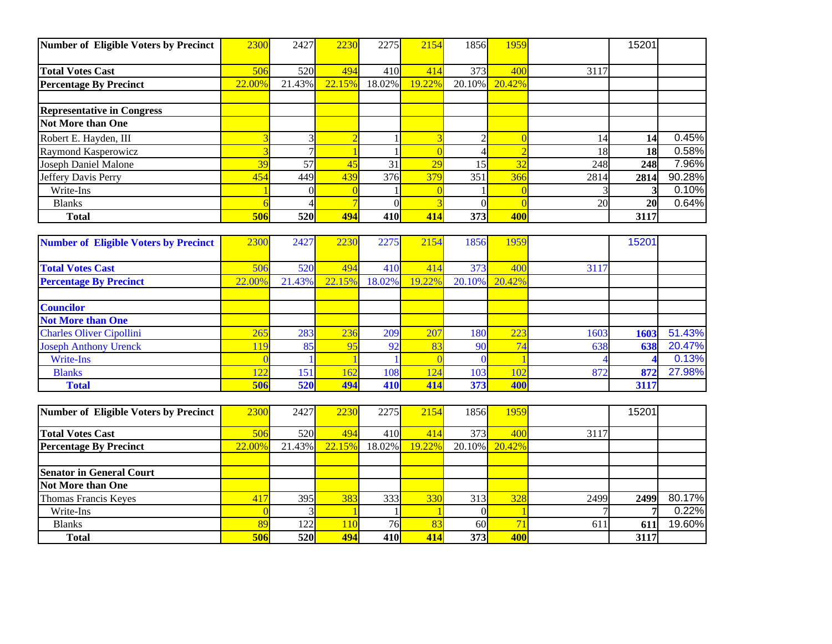| Number of Eligible Voters by Precinct | 2300   | 2427       | 2230   | 2275       | 2154   | 1856      | 1959   |           | 15201     |        |
|---------------------------------------|--------|------------|--------|------------|--------|-----------|--------|-----------|-----------|--------|
|                                       |        |            |        |            |        |           |        |           |           |        |
| <b>Total Votes Cast</b>               | 506    | 520        | 494    | 410        | 414    | 373       | 400    | 3117      |           |        |
| <b>Percentage By Precinct</b>         | 22.00% | 21.43%     | 22.15% | 18.02%     | 19.22% | $20.10\%$ | 20.42% |           |           |        |
|                                       |        |            |        |            |        |           |        |           |           |        |
| <b>Representative in Congress</b>     |        |            |        |            |        |           |        |           |           |        |
| <b>Not More than One</b>              |        |            |        |            |        |           |        |           |           |        |
| Robert E. Hayden, III                 |        |            |        |            |        |           |        | 14        | 14        | 0.45%  |
| Raymond Kasperowicz                   |        |            |        |            |        |           |        | 18        | 18        | 0.58%  |
| Joseph Daniel Malone                  | 39     | 57         | 45     | 31         | 29     |           | 32     | 248       | 248       | 7.96%  |
| Jeffery Davis Perry                   | 454    | 449        | 439    | 376        | 379    | 351       | 366    | 2814      | 2814      | 90.28% |
| Write-Ins                             |        |            |        |            |        |           |        |           |           | 0.10%  |
| <b>Blanks</b>                         |        |            |        | ΩI         |        | DI.       |        | <b>20</b> | <b>20</b> | 0.64%  |
| <b>Total</b>                          | 506    | <b>520</b> | 494    | <b>410</b> | 414    | 373       | 400    |           | 3117      |        |

| <b>Number of Eligible Voters by Precinct</b> | 2300   | 2427       | 2230   | 2275   | 2154   | 1856   | 1959   |      | 15201 |        |
|----------------------------------------------|--------|------------|--------|--------|--------|--------|--------|------|-------|--------|
|                                              |        |            |        |        |        |        |        |      |       |        |
| <b>Total Votes Cast</b>                      | 506    | <b>520</b> | 494    | 410    | 414    | 373    | 400    | 3117 |       |        |
| <b>Percentage By Precinct</b>                | 22.00% | 21.43%     | 22.15% | 18.02% | 19.22% | 20.10% | 20.42% |      |       |        |
|                                              |        |            |        |        |        |        |        |      |       |        |
| <b>Councilor</b>                             |        |            |        |        |        |        |        |      |       |        |
| <b>Not More than One</b>                     |        |            |        |        |        |        |        |      |       |        |
| <b>Charles Oliver Cipollini</b>              | 265    | <b>283</b> | 236    | 209    | 207    | 180    | 223    | 1603 | 1603  | 51.43% |
| <b>Joseph Anthony Urenck</b>                 | 119    | 85         | 95     | 92     | 83     | -90    | 74     | 638  | 638   | 20.47% |
| Write-Ins                                    |        |            |        |        |        |        |        |      |       | 0.13%  |
| <b>Blanks</b>                                | 122    | 151        | 162    | 108    | 124    | 103    | 102    | 872  | 872   | 27.98% |
| <b>Total</b>                                 | 506    | <b>520</b> | 494    | 410    | 414    | 373    | 400    |      | 3117  |        |

| Number of Eligible Voters by Precinct | 2300   | 2427       | 2230   | 2275      | 2154      | 1856            | 1959          |      | 15201 |        |
|---------------------------------------|--------|------------|--------|-----------|-----------|-----------------|---------------|------|-------|--------|
| <b>Total Votes Cast</b>               | 506    | 520l       | 494    | 410L      | 414       | 373             | 400           | 3117 |       |        |
| <b>Percentage By Precinct</b>         | 22.00% | 21.43%     | 22.15% | $18.02\%$ | $19.22\%$ |                 | 20.10% 20.42% |      |       |        |
|                                       |        |            |        |           |           |                 |               |      |       |        |
| <b>Senator in General Court</b>       |        |            |        |           |           |                 |               |      |       |        |
| Not More than One                     |        |            |        |           |           |                 |               |      |       |        |
| Thomas Francis Keyes                  | 417    | 395        | 383    | 333       | 330       | 313             | 328           | 2499 | 2499  | 80.17% |
| Write-Ins                             |        |            |        |           |           |                 |               |      |       | 0.22%  |
| <b>Blanks</b>                         |        | 122I       | 110    | 76        | 83        | 60 <sup>l</sup> |               | 611  | 611   | 19.60% |
| <b>Total</b>                          | 506    | <b>520</b> | 494    | 410I      | 414       | 373             | 400           |      | 3117  |        |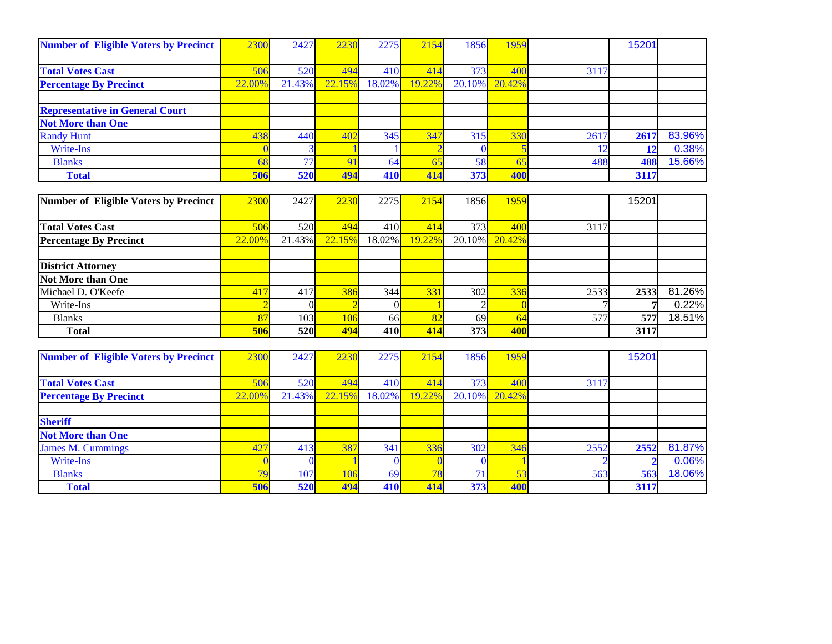| <b>Number of Eligible Voters by Precinct</b> | 2300   | 2427            | 2230           | 2275   | 2154   | 1856   | 1959   |      | 15201 |        |
|----------------------------------------------|--------|-----------------|----------------|--------|--------|--------|--------|------|-------|--------|
|                                              |        |                 |                |        |        |        |        |      |       |        |
| <b>Total Votes Cast</b>                      | 506    | <b>520</b>      | 494            | 410    | 414    | 373    | 400    | 3117 |       |        |
| <b>Percentage By Precinct</b>                | 22.00% | 21.43%          | 22.15%         | 18.02% | 19.22% | 20.10% | 20.42% |      |       |        |
|                                              |        |                 |                |        |        |        |        |      |       |        |
| <b>Representative in General Court</b>       |        |                 |                |        |        |        |        |      |       |        |
| <b>Not More than One</b>                     |        |                 |                |        |        |        |        |      |       |        |
| <b>Randy Hunt</b>                            | 438    | 440             | 402            | 345    | 347    | 315    | 330    | 2617 | 2617  | 83.96% |
| Write-Ins                                    |        |                 |                |        |        |        |        |      | 12    | 0.38%  |
| <b>Blanks</b>                                |        | 77 <sub>h</sub> | Q <sub>1</sub> | 64     | 65     | 58     | 65     | 488  | 488   | 15.66% |
| <b>Total</b>                                 | 506    | <b>520</b>      | 494            | 410    | 414    | 373    | 400    |      | 3117  |        |

| Number of Eligible Voters by Precinct | 2300   | 2427       | 2230   | 2275             | 2154   | 1856      | 1959   |      | 15201 |        |
|---------------------------------------|--------|------------|--------|------------------|--------|-----------|--------|------|-------|--------|
|                                       |        |            |        |                  |        |           |        |      |       |        |
| <b>Total Votes Cast</b>               | 506    | 520        | 494    | 410              | 414    | 373       | 400    | 3117 |       |        |
| <b>Percentage By Precinct</b>         | 22.00% | 21.43%     | 22.15% | 18.02%           | 19.22% | $20.10\%$ | 20.42% |      |       |        |
|                                       |        |            |        |                  |        |           |        |      |       |        |
| <b>District Attorney</b>              |        |            |        |                  |        |           |        |      |       |        |
| Not More than One                     |        |            |        |                  |        |           |        |      |       |        |
| Michael D. O'Keefe                    | 417    | 417        | 386    | 344              | 331    | 302       | 336    | 2533 | 2533  | 81.26% |
| Write-Ins                             |        |            |        |                  |        |           |        |      |       | 0.22%  |
| <b>Blanks</b>                         |        | 103        | 106    | <b>66</b>        | 82     | 69        | 64     | 577  | 577   | 18.51% |
| <b>Total</b>                          | 506    | <b>520</b> | 494    | 410 <sup> </sup> | 414    | 373       | 400    |      | 3117  |        |

| <b>Number of Eligible Voters by Precinct</b> | 2300   | 2427       | 2230   | 2275   | 2154   | 1856   | 1959   |      | 15201 |        |
|----------------------------------------------|--------|------------|--------|--------|--------|--------|--------|------|-------|--------|
|                                              |        |            |        |        |        |        |        |      |       |        |
| <b>Total Votes Cast</b>                      | 506    | <b>520</b> | 494    | 410    | 414    | 373    | 400    | 3117 |       |        |
| <b>Percentage By Precinct</b>                | 22.00% | 21.43%     | 22.15% | 18.02% | 19.22% | 20.10% | 20.42% |      |       |        |
|                                              |        |            |        |        |        |        |        |      |       |        |
| <b>Sheriff</b>                               |        |            |        |        |        |        |        |      |       |        |
| <b>Not More than One</b>                     |        |            |        |        |        |        |        |      |       |        |
| <b>James M. Cummings</b>                     | 427    | 413        | 387    | 341    | 336    | 302    | 346    | 2552 | 2552  | 81.87% |
| Write-Ins                                    |        |            |        |        |        |        |        |      |       | 0.06%  |
| <b>Blanks</b>                                |        | 107        | 106    | 69     | 78     |        |        | 563  | 563   | 18.06% |
| <b>Total</b>                                 | 506    | <b>520</b> | 494    | 410    | 414    | 373    | 400    |      | 3117  |        |